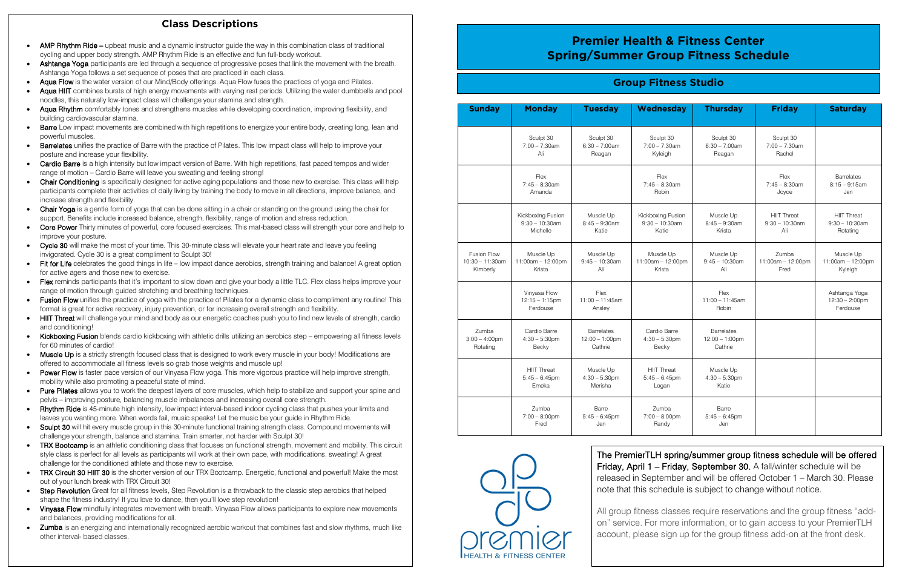| <b>Sunday</b>                                        | <b>Monday</b>                                      | <b>Tuesday</b>                                           | Wednesday                                       | <b>Thursday</b>                                          | <b>Friday</b>                                  | <b>Saturday</b>                                       |
|------------------------------------------------------|----------------------------------------------------|----------------------------------------------------------|-------------------------------------------------|----------------------------------------------------------|------------------------------------------------|-------------------------------------------------------|
|                                                      | Sculpt 30<br>$7:00 - 7:30$ am<br>Ali               | Sculpt 30<br>$6:30 - 7:00$ am<br>Reagan                  | Sculpt 30<br>$7:00 - 7:30$ am<br>Kyleigh        | Sculpt 30<br>$6:30 - 7:00$ am<br>Reagan                  | Sculpt 30<br>$7:00 - 7:30$ am<br>Rachel        |                                                       |
|                                                      | Flex<br>$7:45 - 8:30$ am<br>Amanda                 |                                                          | Flex<br>$7:45 - 8:30$ am<br>Robin               |                                                          | Flex<br>$7:45 - 8:30am$<br>Joyce               | <b>Barrelates</b><br>$8:15 - 9:15$ am<br>Jen          |
|                                                      | Kickboxing Fusion<br>$9:30 - 10:30$ am<br>Michelle | Muscle Up<br>$8:45 - 9:30$ am<br>Katie                   | Kickboxing Fusion<br>$9:30 - 10:30$ am<br>Katie | Muscle Up<br>$8:45 - 9:30$ am<br>Krista                  | <b>HIIT Threat</b><br>$9:30 - 10:30$ am<br>Ali | <b>HIIT Threat</b><br>$9:30 - 10:30$ am<br>Rotating   |
| <b>Fusion Flow</b><br>$10:30 - 11:30$ am<br>Kimberly | Muscle Up<br>11:00am - 12:00pm<br>Krista           | Muscle Up<br>$9:45 - 10:30$ am<br>Ali                    | Muscle Up<br>11:00am - 12:00pm<br>Krista        | Muscle Up<br>$9:45 - 10:30$ am<br>Ali                    | Zumba<br>11:00am - 12:00pm<br>Fred             | Muscle Up<br>$11:00am - 12:00pm$<br>Kyleigh           |
|                                                      | Vinyasa Flow<br>$12:15 - 1:15$ pm<br>Ferdouse      | Flex<br>$11:00 - 11:45$ am<br>Ansley                     |                                                 | Flex<br>$11:00 - 11:45am$<br>Robin                       |                                                | Ashtanga Yoga<br>$12:30 - 2:00 \text{pm}$<br>Ferdouse |
| Zumba<br>$3:00 - 4:00$ pm<br>Rotating                | Cardio Barre<br>$4:30 - 5:30$ pm<br>Becky          | <b>Barrelates</b><br>$12:00 - 1:00 \text{pm}$<br>Cathrie | Cardio Barre<br>$4:30 - 5:30$ pm<br>Becky       | <b>Barrelates</b><br>$12:00 - 1:00 \text{pm}$<br>Cathrie |                                                |                                                       |
|                                                      | <b>HIIT Threat</b><br>$5:45 - 6:45$ pm<br>Emeka    | Muscle Up<br>$4:30 - 5:30$ pm<br>Merisha                 | <b>HIIT Threat</b><br>$5:45 - 6:45$ pm<br>Logan | Muscle Up<br>$4:30 - 5:30$ pm<br>Katie                   |                                                |                                                       |
|                                                      | Zumba<br>$7:00 - 8:00$ pm<br>Fred                  | Barre<br>$5:45 - 6:45$ pm<br>Jen                         | Zumba<br>$7:00 - 8:00$ pm<br>Randy              | Barre<br>$5:45 - 6:45$ pm<br>Jen                         |                                                |                                                       |



## **Group Fitness Studio**

## **Class Descriptions**

- AMP Rhythm Ride upbeat music and a dynamic instructor quide the way in this combination class of traditional cycling and upper body strength. AMP Rhythm Ride is an effective and fun full-body workout.
- Ashtanga Yoga participants are led through a sequence of progressive poses that link the movement with the breath. Ashtanga Yoga follows a set sequence of poses that are practiced in each class.
- Aqua Flow is the water version of our Mind/Body offerings. Aqua Flow fuses the practices of yoga and Pilates.
- noodles, this naturally low-impact class will challenge your stamina and strength. Aqua HIIT combines bursts of high energy movements with varying rest periods. Utilizing the water dumbbells and pool
- Aqua Rhythm comfortably tones and strengthens muscles while developing coordination, improving flexibility, and building cardiovascular stamina.
- **Barre** Low impact movements are combined with high repetitions to energize your entire body, creating long, lean and powerful muscles.
- Barrelates unifies the practice of Barre with the practice of Pilates. This low impact class will help to improve your posture and increase your flexibility.
- Cardio Barre is a high intensity but low impact version of Barre. With high repetitions, fast paced tempos and wider range of motion – Cardio Barre will leave you sweating and feeling strong!
- Chair Conditioning is specifically designed for active aging populations and those new to exercise. This class will help participants complete their activities of daily living by training the body to move in all directions, improve balance, and increase strength and flexibility.
- Chair Yoga is a gentle form of yoga that can be done sitting in a chair or standing on the ground using the chair for support. Benefits include increased balance, strength, flexibility, range of motion and stress reduction.
- Core Power Thirty minutes of powerful, core focused exercises. This mat-based class will strength your core and help to improve your posture.
- Cycle 30 will make the most of your time. This 30-minute class will elevate your heart rate and leave you feeling invigorated. Cycle 30 is a great compliment to Sculpt 30!
- Fit for Life celebrates the good things in life low impact dance aerobics, strength training and balance! A great option for active agers and those new to exercise.
- Flex reminds participants that it's important to slow down and give your body a little TLC. Flex class helps improve your range of motion through guided stretching and breathing techniques.
- Fusion Flow unifies the practice of yoga with the practice of Pilates for a dynamic class to compliment any routine! This format is great for active recovery, injury prevention, or for increasing overall strength and flexibility.
- HIIT Threat will challenge your mind and body as our energetic coaches push you to find new levels of strength, cardio and conditioning!
- Kickboxing Fusion blends cardio kickboxing with athletic drills utilizing an aerobics step empowering all fitness levels for 60 minutes of cardio!
- Muscle Up is a strictly strength focused class that is designed to work every muscle in your body! Modifications are offered to accommodate all fitness levels so grab those weights and muscle up!
- Power Flow is faster pace version of our Vinyasa Flow yoga. This more vigorous practice will help improve strength, mobility while also promoting a peaceful state of mind.
- Pure Pilates allows you to work the deepest layers of core muscles, which help to stabilize and support your spine and pelvis – improving posture, balancing muscle imbalances and increasing overall core strength.
- **Rhythm Ride** is 45-minute high intensity, low impact interval-based indoor cycling class that pushes your limits and leaves you wanting more. When words fail, music speaks! Let the music be your guide in Rhythm Ride.
- Sculpt 30 will hit every muscle group in this 30-minute functional training strength class. Compound movements will challenge your strength, balance and stamina. Train smarter, not harder with Sculpt 30!
- TRX Bootcamp is an athletic conditioning class that focuses on functional strength, movement and mobility. This circuit style class is perfect for all levels as participants will work at their own pace, with modifications. sweating! A great challenge for the conditioned athlete and those new to exercise.
- TRX Circuit 30 HIIT 30 is the shorter version of our TRX Bootcamp. Energetic, functional and powerful! Make the most out of your lunch break with TRX Circuit 30!
- Step Revolution Great for all fitness levels, Step Revolution is a throwback to the classic step aerobics that helped shape the fitness industry! If you love to dance, then you'll love step revolution!
- Vinyasa Flow mindfully integrates movement with breath. Vinyasa Flow allows participants to explore new movements and balances, providing modifications for all.
- Zumba is an energizing and internationally recognized aerobic workout that combines fast and slow rhythms, much like other interval- based classes.

# **Premier Health & Fitness Center Spring/Summer Group Fitness Schedule**

The PremierTLH spring/summer group fitness schedule will be offered Friday, April 1 – Friday, September 30. A fall/winter schedule will be released in September and will be offered October 1 – March 30. Please note that this schedule is subject to change without notice.

All group fitness classes require reservations and the group fitness "addon" service. For more information, or to gain access to your PremierTLH account, please sign up for the group fitness add-on at the front desk.